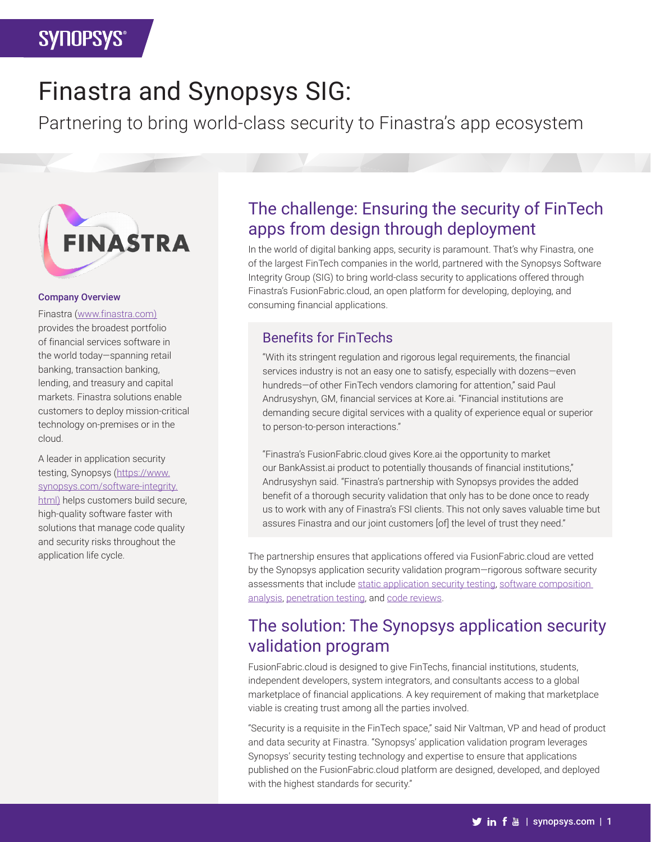# Finastra and Synopsys SIG:

Partnering to bring world-class security to Finastra's app ecosystem



#### Company Overview

Finastra [\(www.finastra.com\)](https://www.finastra.com/) provides the broadest portfolio of financial services software in the world today—spanning retail banking, transaction banking, lending, and treasury and capital markets. Finastra solutions enable customers to deploy mission-critical technology on-premises or in the cloud.

A leader in application security testing, Synopsys ([https://www.](https://www.synopsys.com/software-integrity.html) [synopsys.com/software-integrity.](https://www.synopsys.com/software-integrity.html) [html\)](https://www.synopsys.com/software-integrity.html) helps customers build secure, high-quality software faster with solutions that manage code quality and security risks throughout the application life cycle.

### The challenge: Ensuring the security of FinTech apps from design through deployment

In the world of digital banking apps, security is paramount. That's why Finastra, one of the largest FinTech companies in the world, partnered with the Synopsys Software Integrity Group (SIG) to bring world-class security to applications offered through Finastra's FusionFabric.cloud, an open platform for developing, deploying, and consuming financial applications.

### Benefits for FinTechs

"With its stringent regulation and rigorous legal requirements, the financial services industry is not an easy one to satisfy, especially with dozens—even hundreds—of other FinTech vendors clamoring for attention," said Paul Andrusyshyn, GM, financial services at Kore.ai. "Financial institutions are demanding secure digital services with a quality of experience equal or superior to person-to-person interactions."

"Finastra's FusionFabric.cloud gives Kore.ai the opportunity to market our BankAssist.ai product to potentially thousands of financial institutions," Andrusyshyn said. "Finastra's partnership with Synopsys provides the added benefit of a thorough security validation that only has to be done once to ready us to work with any of Finastra's FSI clients. This not only saves valuable time but assures Finastra and our joint customers [of] the level of trust they need."

The partnership ensures that applications offered via FusionFabric.cloud are vetted by the Synopsys application security validation program—rigorous software security assessments that include [static application security testing](https://www.synopsys.com/software-integrity/security-testing/static-analysis-sast.html), software composition [analysis,](https://www.synopsys.com/software-integrity/security-testing/software-composition-analysis.html) [penetration testing](https://www.synopsys.com/software-integrity/application-security-testing-services/penetration-testing.html), and [code reviews.](https://www.synopsys.com/glossary/what-is-code-review.html)

## The solution: The Synopsys application security validation program

FusionFabric.cloud is designed to give FinTechs, financial institutions, students, independent developers, system integrators, and consultants access to a global marketplace of financial applications. A key requirement of making that marketplace viable is creating trust among all the parties involved.

"Security is a requisite in the FinTech space," said Nir Valtman, VP and head of product and data security at Finastra. "Synopsys' application validation program leverages Synopsys' security testing technology and expertise to ensure that applications published on the FusionFabric.cloud platform are designed, developed, and deployed with the highest standards for security."